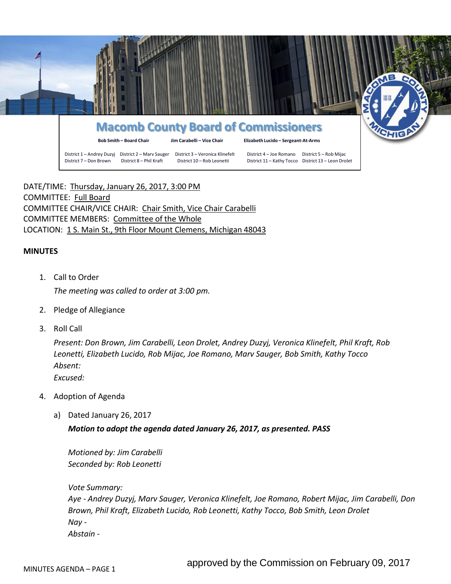

# **Macomb County Board of Commissioners**

**Bob Smith – Board Chair Jim Carabelli – Vice Chair Elizabeth Lucido – Sergeant-At-Arms**

District 1 – Andrey Duzyj District 2 – Marv Sauger District 3 – Veronica Klinefelt District 4 – Joe Romano District 5 – Rob Mijac District 7 – Don Brown District 8 – Phil Kraft District 10 – Rob Leonetti District 11 – Kathy Tocco District 13 – Leon Drolet

DATE/TIME: Thursday, January 26, 2017, 3:00 PM COMMITTEE: Full Board COMMITTEE CHAIR/VICE CHAIR: Chair Smith, Vice Chair Carabelli COMMITTEE MEMBERS: Committee of the Whole LOCATION: 1 S. Main St., 9th Floor Mount Clemens, Michigan 48043

## **MINUTES**

- 1. Call to Order *The meeting was called to order at 3:00 pm.*
- 2. Pledge of Allegiance
- 3. Roll Call

*Present: Don Brown, Jim Carabelli, Leon Drolet, Andrey Duzyj, Veronica Klinefelt, Phil Kraft, Rob Leonetti, Elizabeth Lucido, Rob Mijac, Joe Romano, Marv Sauger, Bob Smith, Kathy Tocco Absent: Excused:*

- 4. Adoption of Agenda
	- a) Dated January 26, 2017

## *Motion to adopt the agenda dated January 26, 2017, as presented. PASS*

*Motioned by: Jim Carabelli Seconded by: Rob Leonetti*

*Vote Summary: Aye - Andrey Duzyj, Marv Sauger, Veronica Klinefelt, Joe Romano, Robert Mijac, Jim Carabelli, Don Brown, Phil Kraft, Elizabeth Lucido, Rob Leonetti, Kathy Tocco, Bob Smith, Leon Drolet Nay - Abstain -*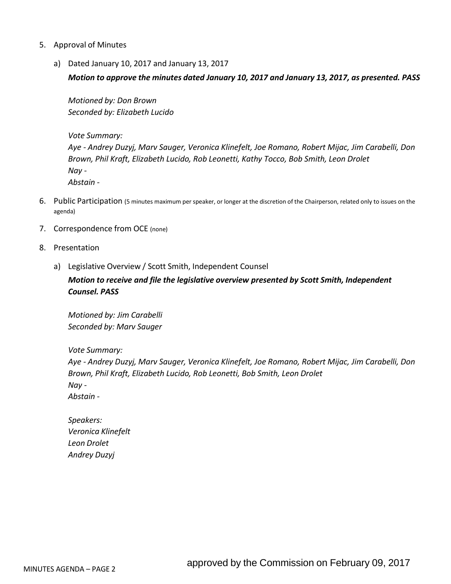- 5. Approval of Minutes
	- a) Dated January 10, 2017 and January 13, 2017

*Motion to approve the minutes dated January 10, 2017 and January 13, 2017, as presented. PASS*

*Motioned by: Don Brown Seconded by: Elizabeth Lucido*

*Vote Summary: Aye - Andrey Duzyj, Marv Sauger, Veronica Klinefelt, Joe Romano, Robert Mijac, Jim Carabelli, Don Brown, Phil Kraft, Elizabeth Lucido, Rob Leonetti, Kathy Tocco, Bob Smith, Leon Drolet Nay - Abstain -*

- 6. Public Participation (5 minutes maximum per speaker, or longer at the discretion of the Chairperson, related only to issues on the agenda)
- 7. Correspondence from OCE (none)
- 8. Presentation
	- a) Legislative Overview / Scott Smith, Independent Counsel

*Motion to receive and file the legislative overview presented by Scott Smith, Independent Counsel. PASS*

*Motioned by: Jim Carabelli Seconded by: Marv Sauger*

*Vote Summary:*

*Aye - Andrey Duzyj, Marv Sauger, Veronica Klinefelt, Joe Romano, Robert Mijac, Jim Carabelli, Don Brown, Phil Kraft, Elizabeth Lucido, Rob Leonetti, Bob Smith, Leon Drolet Nay - Abstain -*

*Speakers: Veronica Klinefelt Leon Drolet Andrey Duzyj*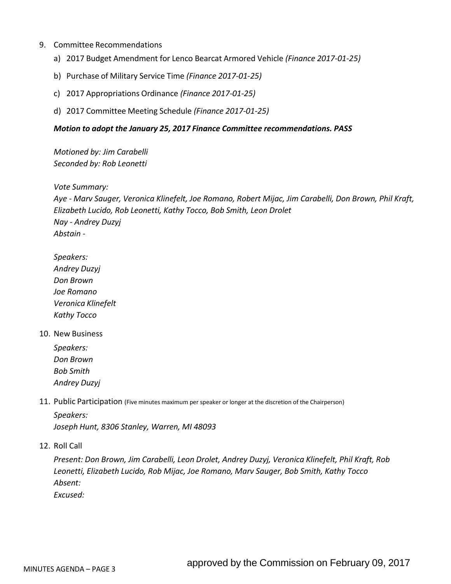- 9. Committee Recommendations
	- a) 2017 Budget Amendment for Lenco Bearcat Armored Vehicle *(Finance 2017-01-25)*
	- b) Purchase of Military Service Time *(Finance 2017-01-25)*
	- c) 2017 Appropriations Ordinance *(Finance 2017-01-25)*
	- d) 2017 Committee Meeting Schedule *(Finance 2017-01-25)*

### *Motion to adopt the January 25, 2017 Finance Committee recommendations. PASS*

*Motioned by: Jim Carabelli Seconded by: Rob Leonetti*

*Vote Summary:*

*Aye - Marv Sauger, Veronica Klinefelt, Joe Romano, Robert Mijac, Jim Carabelli, Don Brown, Phil Kraft, Elizabeth Lucido, Rob Leonetti, Kathy Tocco, Bob Smith, Leon Drolet Nay - Andrey Duzyj Abstain -*

### *Speakers:*

*Andrey Duzyj Don Brown Joe Romano Veronica Klinefelt Kathy Tocco*

### 10. New Business

*Speakers: Don Brown Bob Smith Andrey Duzyj*

11. Public Participation (Five minutes maximum per speaker or longer at the discretion of the Chairperson)

*Speakers: Joseph Hunt, 8306 Stanley, Warren, MI 48093*

12. Roll Call

*Present: Don Brown, Jim Carabelli, Leon Drolet, Andrey Duzyj, Veronica Klinefelt, Phil Kraft, Rob Leonetti, Elizabeth Lucido, Rob Mijac, Joe Romano, Marv Sauger, Bob Smith, Kathy Tocco Absent:*

*Excused:*